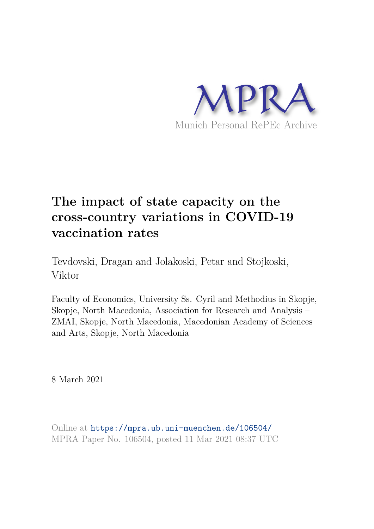

# **The impact of state capacity on the cross-country variations in COVID-19 vaccination rates**

Tevdovski, Dragan and Jolakoski, Petar and Stojkoski, Viktor

Faculty of Economics, University Ss. Cyril and Methodius in Skopje, Skopje, North Macedonia, Association for Research and Analysis – ZMAI, Skopje, North Macedonia, Macedonian Academy of Sciences and Arts, Skopje, North Macedonia

8 March 2021

Online at https://mpra.ub.uni-muenchen.de/106504/ MPRA Paper No. 106504, posted 11 Mar 2021 08:37 UTC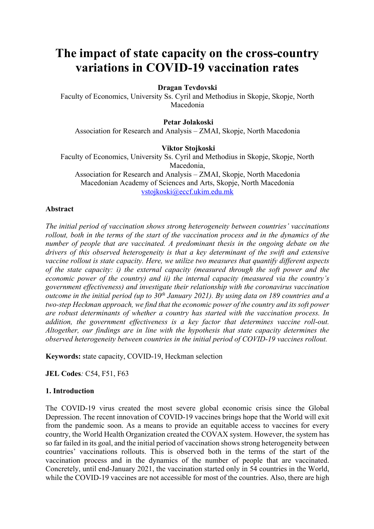## **The impact of state capacity on the cross-country variations in COVID-19 vaccination rates**

#### **Dragan Tevdovski**

Faculty of Economics, University Ss. Cyril and Methodius in Skopje, Skopje, North Macedonia

#### **Petar Jolakoski**

Association for Research and Analysis – ZMAI, Skopje, North Macedonia

### **Viktor Stojkoski**

Faculty of Economics, University Ss. Cyril and Methodius in Skopje, Skopje, North Macedonia, Association for Research and Analysis – ZMAI, Skopje, North Macedonia Macedonian Academy of Sciences and Arts, Skopje, North Macedonia

vstojkoski@eccf.ukim.edu.mk

#### **Abstract**

*The initial period of vaccination shows strong heterogeneity between countries' vaccinations rollout, both in the terms of the start of the vaccination process and in the dynamics of the number of people that are vaccinated. A predominant thesis in the ongoing debate on the drivers of this observed heterogeneity is that a key determinant of the swift and extensive vaccine rollout is state capacity. Here, we utilize two measures that quantify different aspects of the state capacity: i) the external capacity (measured through the soft power and the economic power of the country) and ii) the internal capacity (measured via the country's government effectiveness) and investigate their relationship with the coronavirus vaccination outcome in the initial period (up to 30th January 2021). By using data on 189 countries and a two-step Heckman approach, we find that the economic power of the country and its soft power are robust determinants of whether a country has started with the vaccination process. In addition, the government effectiveness is a key factor that determines vaccine roll-out. Altogether, our findings are in line with the hypothesis that state capacity determines the observed heterogeneity between countries in the initial period of COVID-19 vaccines rollout.* 

**Keywords:** state capacity, COVID-19, Heckman selection

**JEL Codes***:* C54, F51, F63

#### **1. Introduction**

The COVID-19 virus created the most severe global economic crisis since the Global Depression. The recent innovation of COVID-19 vaccines brings hope that the World will exit from the pandemic soon. As a means to provide an equitable access to vaccines for every country, the World Health Organization created the COVAX system. However, the system has so far failed in its goal, and the initial period of vaccination shows strong heterogeneity between countries' vaccinations rollouts. This is observed both in the terms of the start of the vaccination process and in the dynamics of the number of people that are vaccinated. Concretely, until end-January 2021, the vaccination started only in 54 countries in the World, while the COVID-19 vaccines are not accessible for most of the countries. Also, there are high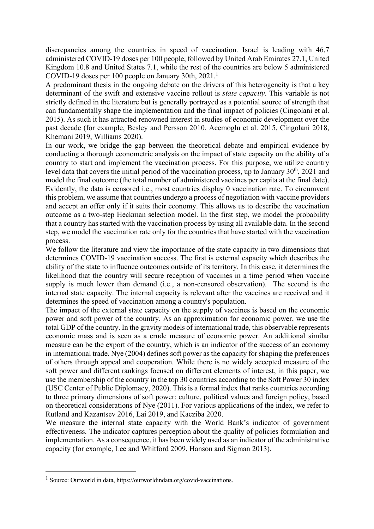discrepancies among the countries in speed of vaccination. Israel is leading with 46,7 administered COVID-19 doses per 100 people, followed by United Arab Emirates 27.1, United Kingdom 10.8 and United States 7.1, while the rest of the countries are below 5 administered COVID-19 doses per 100 people on January 30th, 2021.<sup>1</sup>

A predominant thesis in the ongoing debate on the drivers of this heterogeneity is that a key determinant of the swift and extensive vaccine rollout is *state capacity*. This variable is not strictly defined in the literature but is generally portrayed as a potential source of strength that can fundamentally shape the implementation and the final impact of policies (Cingolani et al. 2015). As such it has attracted renowned interest in studies of economic development over the past decade (for example, Besley and Persson 2010, Acemoglu et al. 2015, Cingolani 2018, Khemani 2019, Williams 2020).

In our work, we bridge the gap between the theoretical debate and empirical evidence by conducting a thorough econometric analysis on the impact of state capacity on the ability of a country to start and implement the vaccination process. For this purpose, we utilize country level data that covers the initial period of the vaccination process, up to January 30<sup>th</sup>, 2021 and model the final outcome (the total number of administered vaccines per capita at the final date). Evidently, the data is censored i.e., most countries display 0 vaccination rate. To circumvent this problem, we assume that countries undergo a process of negotiation with vaccine providers and accept an offer only if it suits their economy. This allows us to describe the vaccination outcome as a two-step Heckman selection model. In the first step, we model the probability that a country has started with the vaccination process by using all available data. In the second step, we model the vaccination rate only for the countries that have started with the vaccination process.

We follow the literature and view the importance of the state capacity in two dimensions that determines COVID-19 vaccination success. The first is external capacity which describes the ability of the state to influence outcomes outside of its territory. In this case, it determines the likelihood that the country will secure reception of vaccines in a time period when vaccine supply is much lower than demand (i.e., a non-censored observation). The second is the internal state capacity. The internal capacity is relevant after the vaccines are received and it determines the speed of vaccination among a country's population.

The impact of the external state capacity on the supply of vaccines is based on the economic power and soft power of the country. As an approximation for economic power, we use the total GDP of the country. In the gravity models of international trade, this observable represents economic mass and is seen as a crude measure of economic power. An additional similar measure can be the export of the country, which is an indicator of the success of an economy in international trade. Nye (2004) defines soft power as the capacity for shaping the preferences of others through appeal and cooperation. While there is no widely accepted measure of the soft power and different rankings focused on different elements of interest, in this paper, we use the membership of the country in the top 30 countries according to the Soft Power 30 index (USC Center of Public Diplomacy, 2020). This is a formal index that ranks countries according to three primary dimensions of soft power: culture, political values and foreign policy, based on theoretical considerations of Nye (2011). For various applications of the index, we refer to Rutland and Kazantsev 2016, Lai 2019, and Kacziba 2020.

We measure the internal state capacity with the World Bank's indicator of government effectiveness. The indicator captures perception about the quality of policies formulation and implementation. As a consequence, it has been widely used as an indicator of the administrative capacity (for example, Lee and Whitford 2009, Hanson and Sigman 2013).

<sup>1</sup> Source: Ourworld in data, https://ourworldindata.org/covid-vaccinations.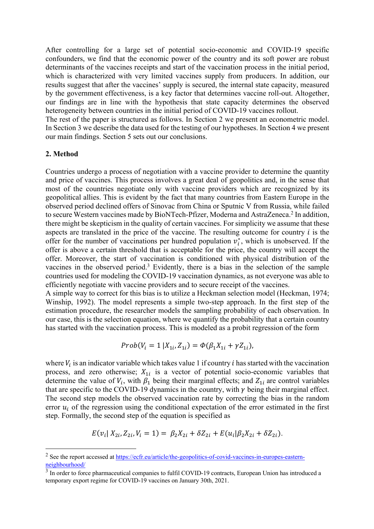After controlling for a large set of potential socio-economic and COVID-19 specific confounders, we find that the economic power of the country and its soft power are robust determinants of the vaccines receipts and start of the vaccination process in the initial period, which is characterized with very limited vaccines supply from producers. In addition, our results suggest that after the vaccines' supply is secured, the internal state capacity, measured by the government effectiveness, is a key factor that determines vaccine roll-out. Altogether, our findings are in line with the hypothesis that state capacity determines the observed heterogeneity between countries in the initial period of COVID-19 vaccines rollout.

The rest of the paper is structured as follows. In Section 2 we present an econometric model. In Section 3 we describe the data used for the testing of our hypotheses. In Section 4 we present our main findings. Section 5 sets out our conclusions.

#### **2. Method**

Countries undergo a process of negotiation with a vaccine provider to determine the quantity and price of vaccines. This process involves a great deal of geopolitics and, in the sense that most of the countries negotiate only with vaccine providers which are recognized by its geopolitical allies. This is evident by the fact that many countries from Eastern Europe in the observed period declined offers of Sinovac from China or Sputnic V from Russia, while failed to secure Western vaccines made by BioNTech-Pfizer, Moderna and AstraZeneca.<sup>2</sup> In addition, there might be skepticism in the quality of certain vaccines. For simplicity we assume that these aspects are translated in the price of the vaccine. The resulting outcome for country  $i$  is the offer for the number of vaccinations per hundred population  $v_i^*$ , which is unobserved. If the offer is above a certain threshold that is acceptable for the price, the country will accept the offer. Moreover, the start of vaccination is conditioned with physical distribution of the vaccines in the observed period.<sup>3</sup> Evidently, there is a bias in the selection of the sample countries used for modeling the COVID-19 vaccination dynamics, as not everyone was able to efficiently negotiate with vaccine providers and to secure receipt of the vaccines.

A simple way to correct for this bias is to utilize a Heckman selection model (Heckman, 1974; Winship, 1992). The model represents a simple two-step approach. In the first step of the estimation procedure, the researcher models the sampling probability of each observation. In our case, this is the selection equation, where we quantify the probability that a certain country has started with the vaccination process. This is modeled as a probit regression of the form

$$
Prob(V_i = 1 | X_{1i}, Z_{1i}) = \Phi(\beta_1 X_{1i} + \gamma Z_{1i}),
$$

where  $V_i$  is an indicator variable which takes value 1 if country *i* has started with the vaccination process, and zero otherwise;  $X_{1i}$  is a vector of potential socio-economic variables that determine the value of  $V_i$ , with  $\beta_1$  being their marginal effects; and  $Z_{1i}$  are control variables that are specific to the COVID-19 dynamics in the country, with  $\gamma$  being their marginal effect. The second step models the observed vaccination rate by correcting the bias in the random error  $u_i$  of the regression using the conditional expectation of the error estimated in the first step. Formally, the second step of the equation is specified as

$$
E(v_i | X_{2i}, Z_{2i}, V_i = 1) = \beta_2 X_{2i} + \delta Z_{2i} + E(u_i | \beta_2 X_{2i} + \delta Z_{2i}).
$$

<sup>&</sup>lt;sup>2</sup> See the report accessed at https://ecfr.eu/article/the-geopolitics-of-covid-vaccines-in-europes-easternneighbourhood/

<sup>&</sup>lt;sup>3</sup> In order to force pharmaceutical companies to fulfil COVID-19 contracts, European Union has introduced a temporary export regime for COVID-19 vaccines on January 30th, 2021.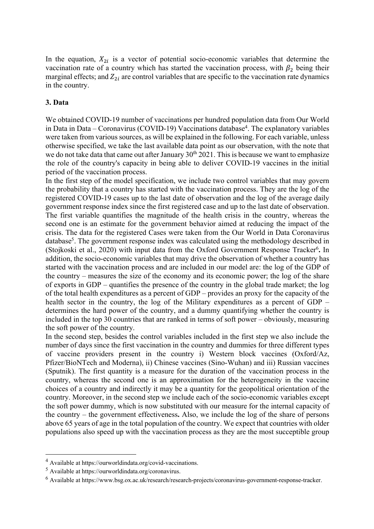In the equation,  $X_{2i}$  is a vector of potential socio-economic variables that determine the vaccination rate of a country which has started the vaccination process, with  $\beta_2$  being their marginal effects; and  $Z_{2i}$  are control variables that are specific to the vaccination rate dynamics in the country.

#### **3. Data**

We obtained COVID-19 number of vaccinations per hundred population data from Our World in Data in Data – Coronavirus (COVID-19) Vaccinations database<sup>4</sup>. The explanatory variables were taken from various sources, as will be explained in the following. For each variable, unless otherwise specified, we take the last available data point as our observation, with the note that we do not take data that came out after January  $30<sup>th</sup> 2021$ . This is because we want to emphasize the role of the country's capacity in being able to deliver COVID-19 vaccines in the initial period of the vaccination process.

In the first step of the model specification, we include two control variables that may govern the probability that a country has started with the vaccination process. They are the log of the registered COVID-19 cases up to the last date of observation and the log of the average daily government response index since the first registered case and up to the last date of observation. The first variable quantifies the magnitude of the health crisis in the country, whereas the second one is an estimate for the government behavior aimed at reducing the impact of the crisis. The data for the registered Cases were taken from the Our World in Data Coronavirus database<sup>5</sup>. The government response index was calculated using the methodology described in (Stojkoski et al., 2020) with input data from the Oxford Government Response Tracker<sup>6</sup>. In addition, the socio-economic variables that may drive the observation of whether a country has started with the vaccination process and are included in our model are: the log of the GDP of the country – measures the size of the economy and its economic power; the log of the share of exports in GDP – quantifies the presence of the country in the global trade market; the log of the total health expenditures as a percent of GDP – provides an proxy for the capacity of the health sector in the country, the log of the Military expenditures as a percent of GDP – determines the hard power of the country, and a dummy quantifying whether the country is included in the top 30 countries that are ranked in terms of soft power – obviously, measuring the soft power of the country.

In the second step, besides the control variables included in the first step we also include the number of days since the first vaccination in the country and dummies for three different types of vaccine providers present in the country i) Western block vaccines (Oxford/Az, Pfizer/BioNTech and Moderna), ii) Chinese vaccines (Sino-Wuhan) and iii) Russian vaccines (Sputnik). The first quantity is a measure for the duration of the vaccination process in the country, whereas the second one is an approximation for the heterogeneity in the vaccine choices of a country and indirectly it may be a quantity for the geopolitical orientation of the country. Moreover, in the second step we include each of the socio-economic variables except the soft power dummy, which is now substituted with our measure for the internal capacity of the country – the government effectiveness**.** Also, we include the log of the share of persons above 65 years of age in the total population of the country. We expect that countries with older populations also speed up with the vaccination process as they are the most succeptible group

<sup>4</sup> Available at https://ourworldindata.org/covid-vaccinations.

<sup>5</sup> Available at https://ourworldindata.org/coronavirus.

<sup>6</sup> Available at https://www.bsg.ox.ac.uk/research/research-projects/coronavirus-government-response-tracker.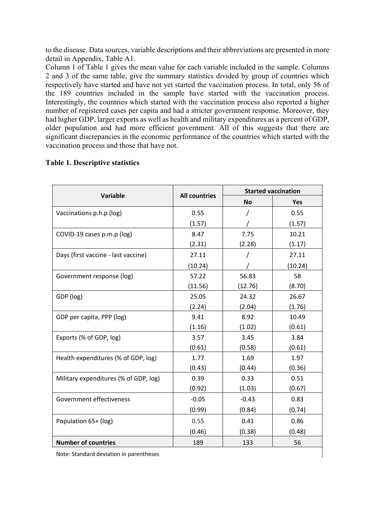to the disease. Data sources, variable descriptions and their abbreviations are presented in more detail in Appendix, Table A1.

Column 1 of Table 1 gives the mean value for each variable included in the sample. Columns 2 and 3 of the same table, give the summary statistics divided by group of countries which respectively have started and have not yet started the vaccination process. In total, only 56 of the 189 countries included in the sample have started with the vaccination process. Interestingly, the countries which started with the vaccination process also reported a higher number of registered cases per capita and had a stricter government response. Moreover, they had higher GDP, larger exports as well as health and military expenditures as a percent of GDP, older population and had more efficient government. All of this suggests that there are significant discrepancies in the economic performance of the countries which started with the vaccination process and those that have not.

|                                       |                      | <b>Started vaccination</b> |         |  |  |
|---------------------------------------|----------------------|----------------------------|---------|--|--|
| Variable                              | <b>All countries</b> | <b>No</b>                  | Yes     |  |  |
| Vaccinations p.h.p (log)              | 0.55                 |                            | 0.55    |  |  |
|                                       | (1.57)               |                            | (1.57)  |  |  |
| COVID-19 cases p.m.p (log)            | 8.47                 | 7.75                       | 10.21   |  |  |
|                                       | (2.31)               | (2.28)                     | (1.17)  |  |  |
| Days (first vaccine - last vaccine)   | 27.11                |                            | 27.11   |  |  |
|                                       | (10.24)              |                            | (10.24) |  |  |
| Government response (log)             | 57.22                | 56.83                      | 58      |  |  |
|                                       | (11.56)              | (12.76)                    | (8.70)  |  |  |
| GDP (log)                             | 25.05                | 24.32                      | 26.67   |  |  |
|                                       | (2.24)               | (2.04)                     | (1.76)  |  |  |
| GDP per capita, PPP (log)             | 9.41                 | 8.92                       | 10.49   |  |  |
|                                       | (1.16)               | (1.02)                     | (0.61)  |  |  |
| Exports (% of GDP, log)               | 3.57                 | 3.45                       | 3.84    |  |  |
|                                       | (0.61)               | (0.58)                     | (0.61)  |  |  |
| Health expenditures (% of GDP, log)   | 1.77                 | 1.69                       | 1.97    |  |  |
|                                       | (0.43)               | (0.44)                     | (0.36)  |  |  |
| Military expenditures (% of GDP, log) | 0.39                 | 0.33                       | 0.51    |  |  |
|                                       | (0.92)               | (1.03)                     | (0.67)  |  |  |
| Government effectiveness              | $-0.05$              | $-0.43$                    | 0.83    |  |  |
|                                       | (0.99)               | (0.84)                     | (0.74)  |  |  |
| Population 65+ (log)                  | 0.55                 | 0.41                       | 0.86    |  |  |
|                                       | (0.46)               | (0.38)                     | (0.48)  |  |  |
| <b>Number of countries</b>            | 189                  | 133                        | 56      |  |  |

#### **Table 1. Descriptive statistics**

Note: Standard deviation in parentheses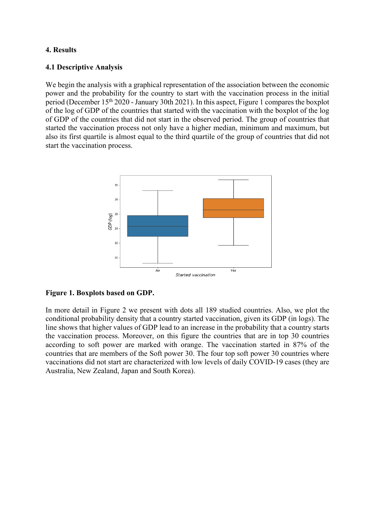### **4. Results**

#### **4.1 Descriptive Analysis**

We begin the analysis with a graphical representation of the association between the economic power and the probability for the country to start with the vaccination process in the initial period (December 15th 2020 - January 30th 2021). In this aspect, Figure 1 compares the boxplot of the log of GDP of the countries that started with the vaccination with the boxplot of the log of GDP of the countries that did not start in the observed period. The group of countries that started the vaccination process not only have a higher median, minimum and maximum, but also its first quartile is almost equal to the third quartile of the group of countries that did not start the vaccination process.



#### **Figure 1. Boxplots based on GDP.**

In more detail in Figure 2 we present with dots all 189 studied countries. Also, we plot the conditional probability density that a country started vaccination, given its GDP (in logs). The line shows that higher values of GDP lead to an increase in the probability that a country starts the vaccination process. Moreover, on this figure the countries that are in top 30 countries according to soft power are marked with orange. The vaccination started in 87% of the countries that are members of the Soft power 30. The four top soft power 30 countries where vaccinations did not start are characterized with low levels of daily COVID-19 cases (they are Australia, New Zealand, Japan and South Korea).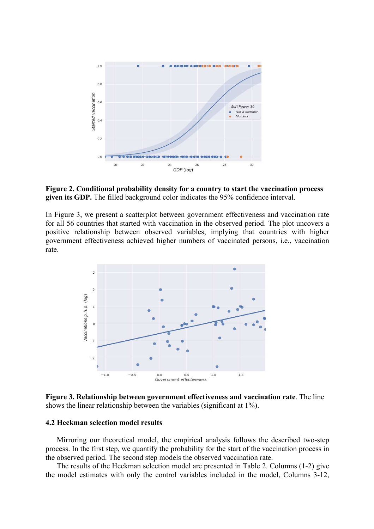

**Figure 2. Conditional probability density for a country to start the vaccination process given its GDP.** The filled background color indicates the 95% confidence interval.

In Figure 3, we present a scatterplot between government effectiveness and vaccination rate for all 56 countries that started with vaccination in the observed period. The plot uncovers a positive relationship between observed variables, implying that countries with higher government effectiveness achieved higher numbers of vaccinated persons, i.e., vaccination rate.



**Figure 3. Relationship between government effectiveness and vaccination rate**. The line shows the linear relationship between the variables (significant at 1%).

#### **4.2 Heckman selection model results**

Mirroring our theoretical model, the empirical analysis follows the described two-step process. In the first step, we quantify the probability for the start of the vaccination process in the observed period. The second step models the observed vaccination rate.

The results of the Heckman selection model are presented in Table 2. Columns (1-2) give the model estimates with only the control variables included in the model, Columns 3-12,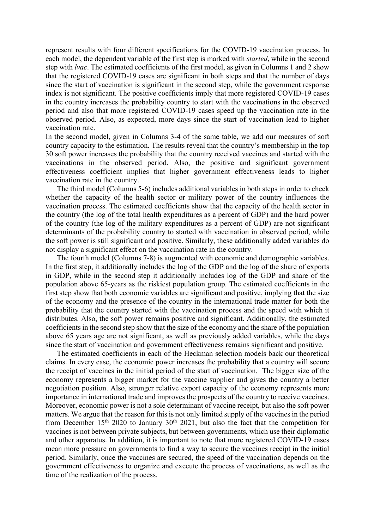represent results with four different specifications for the COVID-19 vaccination process. In each model, the dependent variable of the first step is marked with *started*, while in the second step with *lvac*. The estimated coefficients of the first model, as given in Columns 1 and 2 show that the registered COVID-19 cases are significant in both steps and that the number of days since the start of vaccination is significant in the second step, while the government response index is not significant. The positive coefficients imply that more registered COVID-19 cases in the country increases the probability country to start with the vaccinations in the observed period and also that more registered COVID-19 cases speed up the vaccination rate in the observed period. Also, as expected, more days since the start of vaccination lead to higher vaccination rate.

In the second model, given in Columns 3-4 of the same table, we add our measures of soft country capacity to the estimation. The results reveal that the country's membership in the top 30 soft power increases the probability that the country received vaccines and started with the vaccinations in the observed period. Also, the positive and significant government effectiveness coefficient implies that higher government effectiveness leads to higher vaccination rate in the country.

The third model (Columns 5-6) includes additional variables in both steps in order to check whether the capacity of the health sector or military power of the country influences the vaccination process. The estimated coefficients show that the capacity of the health sector in the country (the log of the total health expenditures as a percent of GDP) and the hard power of the country (the log of the military expenditures as a percent of GDP) are not significant determinants of the probability country to started with vaccination in observed period, while the soft power is still significant and positive. Similarly, these additionally added variables do not display a significant effect on the vaccination rate in the country.

The fourth model (Columns 7-8) is augmented with economic and demographic variables. In the first step, it additionally includes the log of the GDP and the log of the share of exports in GDP, while in the second step it additionally includes log of the GDP and share of the population above 65-years as the riskiest population group. The estimated coefficients in the first step show that both economic variables are significant and positive, implying that the size of the economy and the presence of the country in the international trade matter for both the probability that the country started with the vaccination process and the speed with which it distributes. Also, the soft power remains positive and significant. Additionally, the estimated coefficients in the second step show that the size of the economy and the share of the population above 65 years age are not significant, as well as previously added variables, while the days since the start of vaccination and government effectiveness remains significant and positive.

The estimated coefficients in each of the Heckman selection models back our theoretical claims. In every case, the economic power increases the probability that a country will secure the receipt of vaccines in the initial period of the start of vaccination. The bigger size of the economy represents a bigger market for the vaccine supplier and gives the country a better negotiation position. Also, stronger relative export capacity of the economy represents more importance in international trade and improves the prospects of the country to receive vaccines. Moreover, economic power is not a sole determinant of vaccine receipt, but also the soft power matters. We argue that the reason for this is not only limited supply of the vaccines in the period from December  $15<sup>th</sup>$  2020 to January  $30<sup>th</sup>$  2021, but also the fact that the competition for vaccines is not between private subjects, but between governments, which use their diplomatic and other apparatus. In addition, it is important to note that more registered COVID-19 cases mean more pressure on governments to find a way to secure the vaccines receipt in the initial period. Similarly, once the vaccines are secured, the speed of the vaccination depends on the government effectiveness to organize and execute the process of vaccinations, as well as the time of the realization of the process.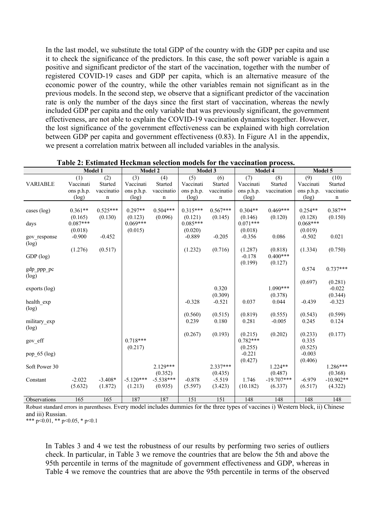In the last model, we substitute the total GDP of the country with the GDP per capita and use it to check the significance of the predictors. In this case, the soft power variable is again a positive and significant predictor of the start of the vaccination, together with the number of registered COVID-19 cases and GDP per capita, which is an alternative measure of the economic power of the country, while the other variables remain not significant as in the previous models. In the second step, we observe that a significant predictor of the vaccination rate is only the number of the days since the first start of vaccination, whereas the newly included GDP per capita and the only variable that was previously significant, the government effectiveness, are not able to explain the COVID-19 vaccination dynamics together. However, the lost significance of the government effectiveness can be explained with high correlation between GDP per capita and government effectiveness (0.83). In Figure A1 in the appendix, we present a correlation matrix between all included variables in the analysis.

|                 |            | Model 1    |             | Model 2                |            | Model 3     | Model 4    |                         | Model 5    |                        |
|-----------------|------------|------------|-------------|------------------------|------------|-------------|------------|-------------------------|------------|------------------------|
|                 | (1)        | (2)        | (3)         | (4)                    | (5)        | (6)         | (7)        | (8)                     | (9)        | (10)                   |
| <b>VARIABLE</b> | Vaccinati  | Started    | Vaccinati   | Started                | Vaccinati  | Started     | Vaccinati  | Started                 | Vaccinati  | Started                |
|                 | ons p.h.p. | vaccinatio | ons p.h.p.  | vaccinatio             | ons p.h.p. | vaccinatio  | ons p.h.p. | vaccination             | ons p.h.p. | vaccinatio             |
|                 | (log)      | n          | (log)       | n                      | (log)      | $\mathbf n$ | (log)      |                         | (log)      | $\mathbf n$            |
|                 |            |            |             |                        |            |             |            |                         |            |                        |
| cases $(log)$   | $0.361**$  | $0.525***$ | $0.297**$   | $0.504***$             | $0.315***$ | $0.567***$  | $0.304**$  | $0.469***$              | $0.254**$  | $0.387**$              |
|                 | (0.165)    | (0.130)    | (0.123)     | (0.096)                | (0.121)    | (0.145)     | (0.146)    | (0.120)                 | (0.128)    | (0.150)                |
| days            | $0.087***$ |            | $0.069***$  |                        | $0.085***$ |             | $0.071***$ |                         | $0.068***$ |                        |
|                 | (0.018)    |            | (0.015)     |                        | (0.020)    |             | (0.018)    |                         | (0.019)    |                        |
| gov response    | $-0.900$   | $-0.452$   |             |                        | $-0.889$   | $-0.205$    | $-0.356$   | 0.086                   | $-0.502$   | 0.021                  |
| (log)           |            |            |             |                        |            |             |            |                         |            |                        |
|                 | (1.276)    | (0.517)    |             |                        | (1.232)    | (0.716)     | (1.287)    | (0.818)                 | (1.334)    | (0.750)                |
| $GDP$ (log)     |            |            |             |                        |            |             | $-0.178$   | $0.400***$              |            |                        |
|                 |            |            |             |                        |            |             | (0.199)    | (0.127)                 |            |                        |
| gdp_ppp_pc      |            |            |             |                        |            |             |            |                         | 0.574      | $0.737***$             |
| (log)           |            |            |             |                        |            |             |            |                         |            |                        |
|                 |            |            |             |                        |            |             |            |                         | (0.697)    | (0.281)                |
| $\exp (log)$    |            |            |             |                        |            | 0.320       |            | $1.090***$              |            | $-0.022$               |
|                 |            |            |             |                        |            | (0.309)     |            | (0.378)                 |            | (0.344)                |
| health exp      |            |            |             |                        | $-0.328$   | $-0.521$    | 0.037      | 0.044                   | $-0.439$   | $-0.323$               |
| (log)           |            |            |             |                        |            |             |            |                         |            |                        |
|                 |            |            |             |                        | (0.560)    | (0.515)     | (0.819)    | (0.555)                 | (0.543)    | (0.599)                |
| military exp    |            |            |             |                        | 0.239      | 0.180       | 0.281      | $-0.005$                | 0.245      | 0.124                  |
| (log)           |            |            |             |                        |            |             |            |                         |            |                        |
|                 |            |            |             |                        | (0.267)    | (0.193)     | (0.215)    | (0.202)                 | (0.233)    | (0.177)                |
| gov_eff         |            |            | $0.718***$  |                        |            |             | $0.782***$ |                         | 0.335      |                        |
|                 |            |            | (0.217)     |                        |            |             | (0.255)    |                         | (0.525)    |                        |
| pop_65 (log)    |            |            |             |                        |            |             | $-0.221$   |                         | $-0.003$   |                        |
|                 |            |            |             |                        |            |             | (0.427)    |                         | (0.406)    |                        |
| Soft Power 30   |            |            |             | $2.129***$             |            | $2.337***$  |            | $1.224**$               |            | 1.286***               |
|                 |            | $-3.408*$  | $-5.120***$ | (0.352)<br>$-5.538***$ |            | (0.435)     |            | (0.487)<br>$-19.707***$ | $-6.979$   | (0.368)<br>$-10.902**$ |
| Constant        | $-2.022$   |            |             |                        | $-0.878$   | $-5.519$    | 1.746      |                         |            |                        |
|                 | (5.632)    | (1.872)    | (1.213)     | (0.935)                | (5.597)    | (3.423)     | (10.182)   | (6.337)                 | (6.517)    | (4.322)                |
| Observations    | 165        | 165        | 187         | 187                    | 151        | 151         | 148        | 148                     | 148        | 148                    |
|                 |            |            |             |                        |            |             |            |                         |            |                        |

Robust standard errors in parentheses. Every model includes dummies for the three types of vaccines i) Western block, ii) Chinese and iii) Russian.

\*\*\* p<0.01, \*\* p<0.05, \* p<0.1

In Tables 3 and 4 we test the robustness of our results by performing two series of outliers check. In particular, in Table 3 we remove the countries that are below the 5th and above the 95th percentile in terms of the magnitude of government effectiveness and GDP, whereas in Table 4 we remove the countries that are above the 95th percentile in terms of the observed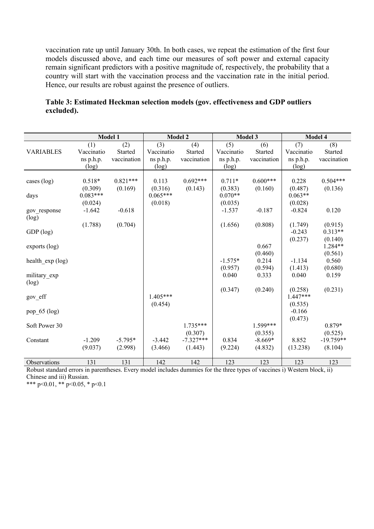vaccination rate up until January 30th. In both cases, we repeat the estimation of the first four models discussed above, and each time our measures of soft power and external capacity remain significant predictors with a positive magnitude of, respectively, the probability that a country will start with the vaccination process and the vaccination rate in the initial period. Hence, our results are robust against the presence of outliers.

| Table 3: Estimated Heckman selection models (gov. effectiveness and GDP outliers |  |  |  |
|----------------------------------------------------------------------------------|--|--|--|
| excluded).                                                                       |  |  |  |

|                   |            | Model 1     |            | <b>Model 2</b> |            | Model 3     |            | Model 4            |
|-------------------|------------|-------------|------------|----------------|------------|-------------|------------|--------------------|
|                   | (1)        | (2)         | (3)        | (4)            | (5)        | (6)         | (7)        | (8)                |
| <b>VARIABLES</b>  | Vaccinatio | Started     | Vaccinatio | Started        | Vaccinatio | Started     | Vaccinatio | Started            |
|                   | ns p.h.p.  | vaccination | ns p.h.p.  | vaccination    | ns p.h.p.  | vaccination | ns p.h.p.  | vaccination        |
|                   | (log)      |             | (log)      |                | (log)      |             | (log)      |                    |
|                   |            |             |            |                |            |             |            |                    |
| cases $(log)$     | $0.518*$   | $0.821***$  | 0.113      | $0.692***$     | $0.711*$   | $0.600***$  | 0.228      | $0.504***$         |
|                   | (0.309)    | (0.169)     | (0.316)    | (0.143)        | (0.383)    | (0.160)     | (0.487)    | (0.136)            |
| days              | $0.083***$ |             | $0.065***$ |                | $0.070**$  |             | $0.063**$  |                    |
|                   | (0.024)    |             | (0.018)    |                | (0.035)    |             | (0.028)    |                    |
| gov response      | $-1.642$   | $-0.618$    |            |                | $-1.537$   | $-0.187$    | $-0.824$   | 0.120              |
| (log)             |            |             |            |                |            |             |            |                    |
|                   | (1.788)    | (0.704)     |            |                | (1.656)    | (0.808)     | (1.749)    | (0.915)            |
| GDP (log)         |            |             |            |                |            |             | $-0.243$   | $0.313**$          |
|                   |            |             |            |                |            | 0.667       | (0.237)    | (0.140)<br>1.284** |
| $exports$ (log)   |            |             |            |                |            | (0.460)     |            | (0.561)            |
|                   |            |             |            |                | $-1.575*$  | 0.214       | $-1.134$   | 0.560              |
| health $exp(log)$ |            |             |            |                | (0.957)    | (0.594)     | (1.413)    | (0.680)            |
| military_exp      |            |             |            |                | 0.040      | 0.333       | 0.040      | 0.159              |
| (log)             |            |             |            |                |            |             |            |                    |
|                   |            |             |            |                | (0.347)    | (0.240)     | (0.258)    | (0.231)            |
| gov_eff           |            |             | $1.405***$ |                |            |             | $1.447***$ |                    |
|                   |            |             | (0.454)    |                |            |             | (0.535)    |                    |
| pop_65 (log)      |            |             |            |                |            |             | $-0.166$   |                    |
|                   |            |             |            |                |            |             | (0.473)    |                    |
| Soft Power 30     |            |             |            | $1.735***$     |            | 1.599***    |            | 0.879*             |
|                   |            |             |            | (0.307)        |            | (0.355)     |            | (0.525)            |
| Constant          | $-1.209$   | $-5.795*$   | $-3.442$   | $-7.327***$    | 0.834      | $-8.669*$   | 8.852      | $-19.759**$        |
|                   | (9.037)    | (2.998)     | (3.466)    | (1.443)        | (9.224)    | (4.832)     | (13.238)   | (8.104)            |
|                   |            |             |            |                |            |             |            |                    |
| Observations      | 131        | 131         | 142        | 142            | 123        | 123         | 123        | 123                |

Robust standard errors in parentheses. Every model includes dummies for the three types of vaccines i) Western block, ii) Chinese and iii) Russian.

\*\*\* p<0.01, \*\* p<0.05, \* p<0.1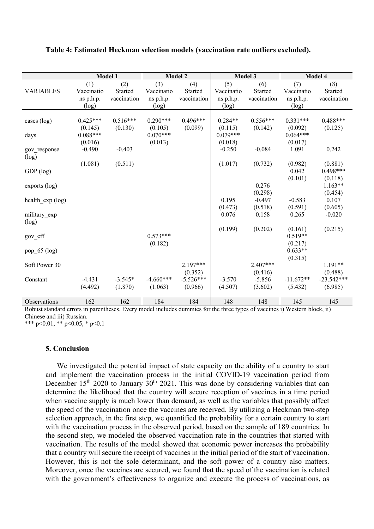|                  |            | <b>Model 1</b> |             | <b>Model 2</b> |                  | Model 3             |                  | Model 4              |
|------------------|------------|----------------|-------------|----------------|------------------|---------------------|------------------|----------------------|
|                  | (1)        | (2)            | (3)         | (4)            | (5)              | (6)                 | (7)              | (8)                  |
| <b>VARIABLES</b> | Vaccinatio | Started        | Vaccinatio  | Started        | Vaccinatio       | Started             | Vaccinatio       | Started              |
|                  | ns p.h.p.  | vaccination    | ns p.h.p.   | vaccination    | ns p.h.p.        | vaccination         | ns p.h.p.        | vaccination          |
|                  | $(\log)$   |                | (log)       |                | (log)            |                     | (log)            |                      |
|                  |            |                |             |                |                  |                     |                  |                      |
| cases (log)      | $0.425***$ | $0.516***$     | $0.290***$  | $0.496***$     | $0.284**$        | $0.556***$          | $0.331***$       | $0.488***$           |
|                  | (0.145)    | (0.130)        | (0.105)     | (0.099)        | (0.115)          | (0.142)             | (0.092)          | (0.125)              |
| days             | $0.088***$ |                | $0.070***$  |                | $0.079***$       |                     | $0.064***$       |                      |
|                  | (0.016)    |                | (0.013)     |                | (0.018)          |                     | (0.017)          |                      |
| gov response     | $-0.490$   | $-0.403$       |             |                | $-0.250$         | $-0.084$            | 1.091            | 0.242                |
| (log)            |            |                |             |                |                  |                     |                  |                      |
|                  | (1.081)    | (0.511)        |             |                | (1.017)          | (0.732)             | (0.982)          | (0.881)              |
| GDP (log)        |            |                |             |                |                  |                     | 0.042            | $0.498***$           |
|                  |            |                |             |                |                  | 0.276               | (0.101)          | (0.118)<br>$1.163**$ |
| exports (log)    |            |                |             |                |                  |                     |                  |                      |
|                  |            |                |             |                | 0.195            | (0.298)<br>$-0.497$ | $-0.583$         | (0.454)<br>0.107     |
| health_exp (log) |            |                |             |                |                  | (0.518)             |                  |                      |
|                  |            |                |             |                | (0.473)<br>0.076 | 0.158               | (0.591)<br>0.265 | (0.605)<br>$-0.020$  |
| military exp     |            |                |             |                |                  |                     |                  |                      |
| (log)            |            |                |             |                | (0.199)          | (0.202)             | (0.161)          | (0.215)              |
| gov_eff          |            |                | $0.573***$  |                |                  |                     | $0.519**$        |                      |
|                  |            |                | (0.182)     |                |                  |                     | (0.217)          |                      |
| pop_65 (log)     |            |                |             |                |                  |                     | $0.633**$        |                      |
|                  |            |                |             |                |                  |                     | (0.315)          |                      |
| Soft Power 30    |            |                |             | $2.197***$     |                  | $2.407***$          |                  | $1.191**$            |
|                  |            |                |             | (0.352)        |                  | (0.416)             |                  | (0.488)              |
| Constant         | $-4.431$   | $-3.545*$      | $-4.660***$ | $-5.526***$    | $-3.570$         | $-5.856$            | $-11.672**$      | $-23.542***$         |
|                  | (4.492)    | (1.870)        | (1.063)     | (0.966)        | (4.507)          | (3.602)             | (5.432)          | (6.985)              |
|                  |            |                |             |                |                  |                     |                  |                      |
| Observations     | 162        | 162            | 184         | 184            | 148              | 148                 | 145              | 145                  |

#### **Table 4: Estimated Heckman selection models (vaccination rate outliers excluded).**

Robust standard errors in parentheses. Every model includes dummies for the three types of vaccines i) Western block, ii) Chinese and iii) Russian.

\*\*\* p<0.01, \*\* p<0.05, \* p<0.1

#### **5. Conclusion**

We investigated the potential impact of state capacity on the ability of a country to start and implement the vaccination process in the initial COVID-19 vaccination period from December  $15<sup>th</sup>$  2020 to January  $30<sup>th</sup>$  2021. This was done by considering variables that can determine the likelihood that the country will secure reception of vaccines in a time period when vaccine supply is much lower than demand, as well as the variables that possibly affect the speed of the vaccination once the vaccines are received. By utilizing a Heckman two-step selection approach, in the first step, we quantified the probability for a certain country to start with the vaccination process in the observed period, based on the sample of 189 countries. In the second step, we modeled the observed vaccination rate in the countries that started with vaccination. The results of the model showed that economic power increases the probability that a country will secure the receipt of vaccines in the initial period of the start of vaccination. However, this is not the sole determinant, and the soft power of a country also matters. Moreover, once the vaccines are secured, we found that the speed of the vaccination is related with the government's effectiveness to organize and execute the process of vaccinations, as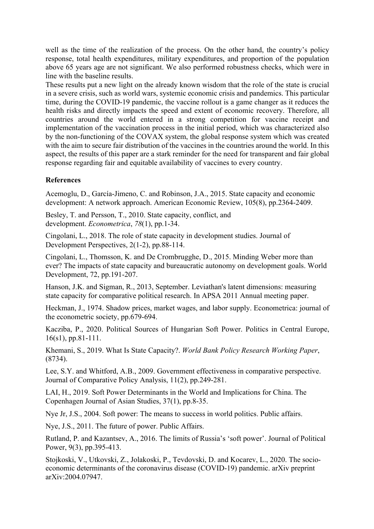well as the time of the realization of the process. On the other hand, the country's policy response, total health expenditures, military expenditures, and proportion of the population above 65 years age are not significant. We also performed robustness checks, which were in line with the baseline results.

These results put a new light on the already known wisdom that the role of the state is crucial in a severe crisis, such as world wars, systemic economic crisis and pandemics. This particular time, during the COVID-19 pandemic, the vaccine rollout is a game changer as it reduces the health risks and directly impacts the speed and extent of economic recovery. Therefore, all countries around the world entered in a strong competition for vaccine receipt and implementation of the vaccination process in the initial period, which was characterized also by the non-functioning of the COVAX system, the global response system which was created with the aim to secure fair distribution of the vaccines in the countries around the world. In this aspect, the results of this paper are a stark reminder for the need for transparent and fair global response regarding fair and equitable availability of vaccines to every country.

## **References**

Acemoglu, D., García-Jimeno, C. and Robinson, J.A., 2015. State capacity and economic development: A network approach. American Economic Review, 105(8), pp.2364-2409.

Besley, T. and Persson, T., 2010. State capacity, conflict, and development. *Econometrica*, *78*(1), pp.1-34.

Cingolani, L., 2018. The role of state capacity in development studies. Journal of Development Perspectives, 2(1-2), pp.88-114.

Cingolani, L., Thomsson, K. and De Crombrugghe, D., 2015. Minding Weber more than ever? The impacts of state capacity and bureaucratic autonomy on development goals. World Development, 72, pp.191-207.

Hanson, J.K. and Sigman, R., 2013, September. Leviathan's latent dimensions: measuring state capacity for comparative political research. In APSA 2011 Annual meeting paper.

Heckman, J., 1974. Shadow prices, market wages, and labor supply. Econometrica: journal of the econometric society, pp.679-694.

Kacziba, P., 2020. Political Sources of Hungarian Soft Power. Politics in Central Europe, 16(s1), pp.81-111.

Khemani, S., 2019. What Is State Capacity?. *World Bank Policy Research Working Paper*, (8734).

Lee, S.Y. and Whitford, A.B., 2009. Government effectiveness in comparative perspective. Journal of Comparative Policy Analysis, 11(2), pp.249-281.

LAI, H., 2019. Soft Power Determinants in the World and Implications for China. The Copenhagen Journal of Asian Studies, 37(1), pp.8-35.

Nye Jr, J.S., 2004. Soft power: The means to success in world politics. Public affairs.

Nye, J.S., 2011. The future of power. Public Affairs.

Rutland, P. and Kazantsev, A., 2016. The limits of Russia's 'soft power'. Journal of Political Power, 9(3), pp.395-413.

Stojkoski, V., Utkovski, Z., Jolakoski, P., Tevdovski, D. and Kocarev, L., 2020. The socioeconomic determinants of the coronavirus disease (COVID-19) pandemic. arXiv preprint arXiv:2004.07947.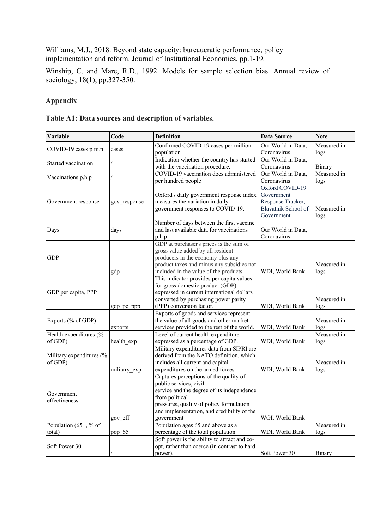Williams, M.J., 2018. Beyond state capacity: bureaucratic performance, policy implementation and reform. Journal of Institutional Economics, pp.1-19.

Winship, C. and Mare, R.D., 1992. Models for sample selection bias. Annual review of sociology, 18(1), pp.327-350.

## **Appendix**

|  | Table A1: Data sources and description of variables. |  |  |  |
|--|------------------------------------------------------|--|--|--|
|--|------------------------------------------------------|--|--|--|

| Variable                            | Code         | <b>Definition</b>                                                                                                                                                                                                                        | <b>Data Source</b>                                                                      | <b>Note</b>                     |
|-------------------------------------|--------------|------------------------------------------------------------------------------------------------------------------------------------------------------------------------------------------------------------------------------------------|-----------------------------------------------------------------------------------------|---------------------------------|
| COVID-19 cases p.m.p                | cases        | Confirmed COVID-19 cases per million<br>population                                                                                                                                                                                       | Our World in Data,<br>Coronavirus                                                       | Measured in<br>logs             |
| Started vaccination                 |              | Indication whether the country has started<br>with the vaccination procedure.                                                                                                                                                            | Our World in Data,<br>Coronavirus                                                       | Binary                          |
| Vaccinations p.h.p                  |              | COVID-19 vaccination does administered<br>per hundred people                                                                                                                                                                             | Our World in Data,<br>Coronavirus                                                       | Measured in<br>logs             |
| Government response                 | gov response | Oxford's daily government response index<br>measures the variation in daily<br>government responses to COVID-19.                                                                                                                         | Oxford COVID-19<br>Government<br>Response Tracker,<br>Blavatnik School of<br>Government | Measured in<br>log <sub>s</sub> |
| Days                                | days         | Number of days between the first vaccine<br>and last available data for vaccinations<br>p.h.p.                                                                                                                                           | Our World in Data.<br>Coronavirus                                                       |                                 |
| <b>GDP</b>                          | gdp          | GDP at purchaser's prices is the sum of<br>gross value added by all resident<br>producers in the economy plus any<br>product taxes and minus any subsidies not<br>included in the value of the products.                                 | WDI, World Bank                                                                         | Measured in<br>logs             |
| GDP per capita, PPP                 | gdp_pc_ppp   | This indicator provides per capita values<br>for gross domestic product (GDP)<br>expressed in current international dollars<br>converted by purchasing power parity<br>(PPP) conversion factor.                                          | WDI, World Bank                                                                         | Measured in<br>logs             |
| Exports (% of GDP)                  | exports      | Exports of goods and services represent<br>the value of all goods and other market<br>services provided to the rest of the world.                                                                                                        | WDI, World Bank                                                                         | Measured in<br>logs             |
| Health expenditures (%<br>of GDP)   | health exp   | Level of current health expenditure<br>expressed as a percentage of GDP.                                                                                                                                                                 | WDI, World Bank                                                                         | Measured in<br>logs             |
| Military expenditures (%<br>of GDP) | military exp | Military expenditures data from SIPRI are<br>derived from the NATO definition, which<br>includes all current and capital<br>expenditures on the armed forces.                                                                            | WDI, World Bank                                                                         | Measured in<br>logs             |
| Government<br>effectiveness         | gov eff      | Captures perceptions of the quality of<br>public services, civil<br>service and the degree of its independence<br>from political<br>pressures, quality of policy formulation<br>and implementation, and credibility of the<br>government | WGI, World Bank                                                                         |                                 |
| Population (65+, % of               |              | Population ages 65 and above as a                                                                                                                                                                                                        |                                                                                         | Measured in                     |
| total)<br>Soft Power 30             | pop_65       | percentage of the total population.<br>Soft power is the ability to attract and co-<br>opt, rather than coerce (in contrast to hard<br>power).                                                                                           | WDI, World Bank<br>Soft Power 30                                                        | logs<br><b>Binary</b>           |